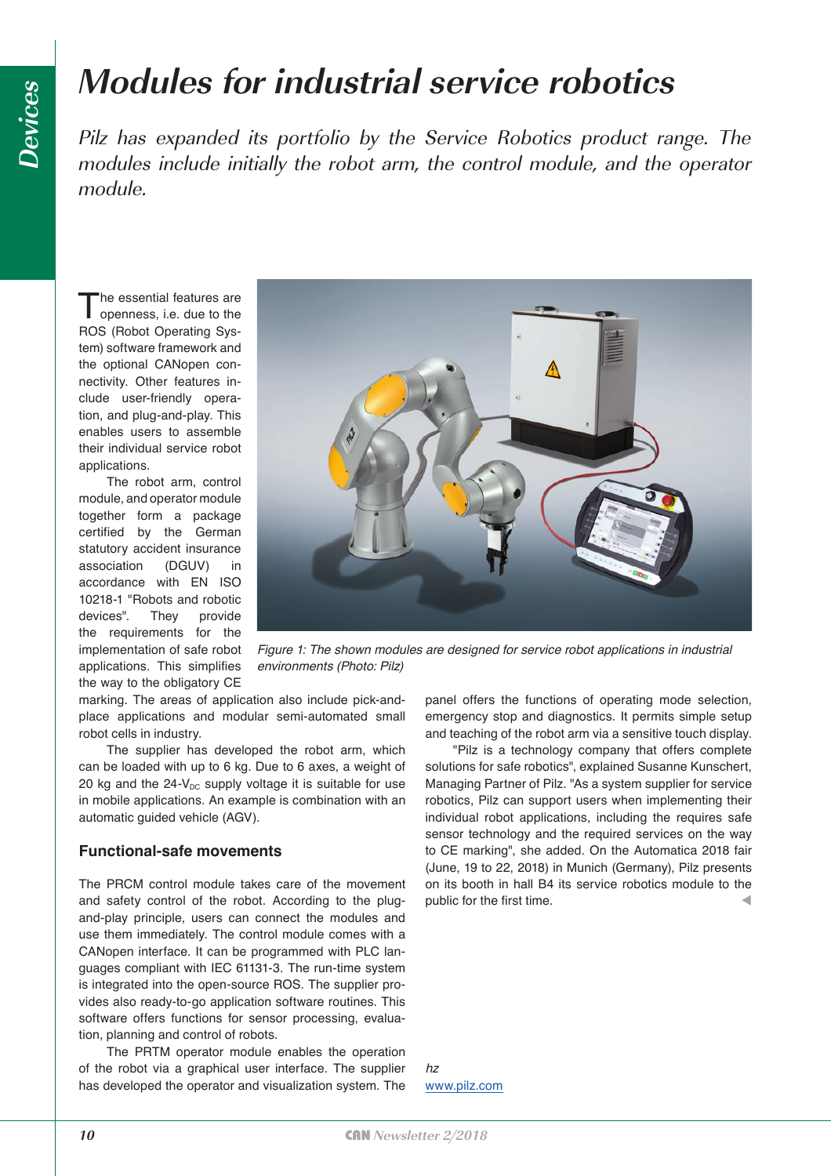## **Modules for industrial service robotics**

Pilz has expanded its portfolio by the Service Robotics product range. The modules include initially the robot arm, the control module, and the operator module.

The essential features are<br>openness, i.e. due to the ROS (Robot Operating System) software framework and the optional CANopen connectivity. Other features include user-friendly operation, and plug-and-play. This enables users to assemble their individual service robot applications.

The robot arm, control module, and operator module together form a package certified by the German statutory accident insurance association (DGUV) in accordance with EN ISO 10218-1 "Robots and robotic devices". They provide the requirements for the implementation of safe robot applications. This simplifies the way to the obligatory CE



*Figure 1: The shown modules are designed for service robot applications in industrial environments (Photo: Pilz)*

marking. The areas of application also include pick-andplace applications and modular semi-automated small robot cells in industry.

The supplier has developed the robot arm, which can be loaded with up to 6 kg. Due to 6 axes, a weight of 20 kg and the  $24-V_{DC}$  supply voltage it is suitable for use in mobile applications. An example is combination with an automatic guided vehicle (AGV).

#### **Functional-safe movements**

The PRCM control module takes care of the movement and safety control of the robot. According to the plugand-play principle, users can connect the modules and use them immediately. The control module comes with a CANopen interface. It can be programmed with PLC languages compliant with IEC 61131-3. The run-time system is integrated into the open-source ROS. The supplier provides also ready-to-go application software routines. This software offers functions for sensor processing, evaluation, planning and control of robots.

The PRTM operator module enables the operation of the robot via a graphical user interface. The supplier has developed the operator and visualization system. The

panel offers the functions of operating mode selection, emergency stop and diagnostics. It permits simple setup and teaching of the robot arm via a sensitive touch display.

"Pilz is a technology company that offers complete solutions for safe robotics", explained Susanne Kunschert, Managing Partner of Pilz. "As a system supplier for service robotics, Pilz can support users when implementing their individual robot applications, including the requires safe sensor technology and the required services on the way to CE marking", she added. On the Automatica 2018 fair (June, 19 to 22, 2018) in Munich (Germany), Pilz presents on its booth in hall B4 its service robotics module to the public for the first time.

*hz* [www.pilz.com](http://www.pilz.com)